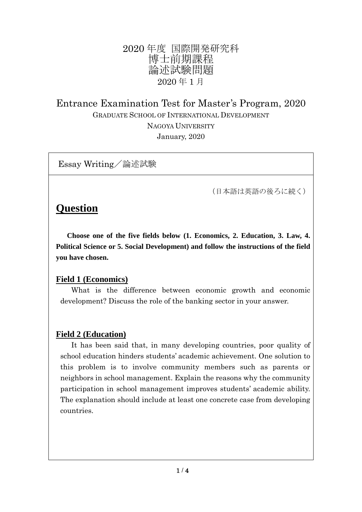## 2020 年度 国際開発研究科 博士前期課程 論述試験問題 2020 年 1 月

# Entrance Examination Test for Master's Program, 2020 GRADUATE SCHOOL OF INTERNATIONAL DEVELOPMENT NAGOYA UNIVERSITY January, 2020

Essay Writing/論述試験

(日本語は英語の後ろに続く)

# **Question**

 **Choose one of the five fields below (1. Economics, 2. Education, 3. Law, 4. Political Science or 5. Social Development) and follow the instructions of the field you have chosen.**

### **Field 1 (Economics)**

What is the difference between economic growth and economic development? Discuss the role of the banking sector in your answer.

## **Field 2 (Education)**

It has been said that, in many developing countries, poor quality of school education hinders students' academic achievement. One solution to this problem is to involve community members such as parents or neighbors in school management. Explain the reasons why the community participation in school management improves students' academic ability. The explanation should include at least one concrete case from developing countries.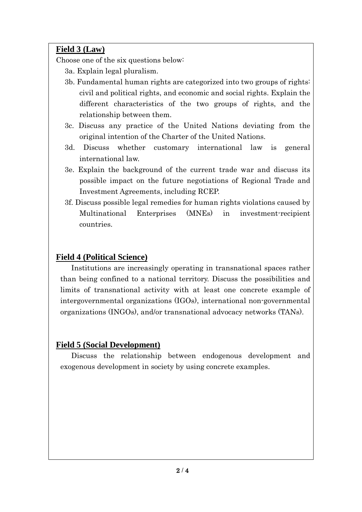## **Field 3 (Law)**

Choose one of the six questions below:

- 3a. Explain legal pluralism.
- 3b. Fundamental human rights are categorized into two groups of rights: civil and political rights, and economic and social rights. Explain the different characteristics of the two groups of rights, and the relationship between them.
- 3c. Discuss any practice of the United Nations deviating from the original intention of the Charter of the United Nations.
- 3d. Discuss whether customary international law is general international law.
- 3e. Explain the background of the current trade war and discuss its possible impact on the future negotiations of Regional Trade and Investment Agreements, including RCEP.
- 3f. Discuss possible legal remedies for human rights violations caused by Multinational Enterprises (MNEs) in investment-recipient countries.

## **Field 4 (Political Science)**

Institutions are increasingly operating in transnational spaces rather than being confined to a national territory. Discuss the possibilities and limits of transnational activity with at least one concrete example of intergovernmental organizations (IGOs), international non-governmental organizations (INGOs), and/or transnational advocacy networks (TANs).

### **Field 5 (Social Development)**

Discuss the relationship between endogenous development and exogenous development in society by using concrete examples.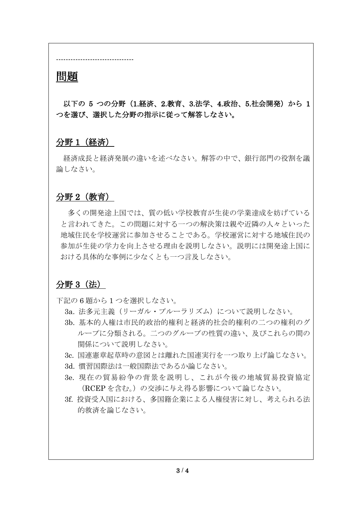# 問題

以下の 5 つの分野 (1.経済、2.教育、3.法学、4.政治、5.社会開発) から 1 つを選び、選択した分野の指示に従って解答しなさい。

#### 分野 1(経済)

--------------------------------

経済成長と経済発展の違いを述べなさい。解答の中で、銀行部門の役割を議 論しなさい。

#### 分野 2(教育)

多くの開発途上国では、質の低い学校教育が生徒の学業達成を妨げている と言われてきた。この問題に対する一つの解決策は親や近隣の人々といった 地域住民を学校運営に参加させることである。学校運営に対する地域住民の 参加が生徒の学力を向上させる理由を説明しなさい。説明には開発途上国に おける具体的な事例に少なくとも一つ言及しなさい。

#### 分野 3(法)

下記の 6 題から 1 つを選択しなさい。

- 3a. 法多元主義(リーガル・プルーラリズム)について説明しなさい。
- 3b. 基本的人権は市民的政治的権利と経済的社会的権利の二つの権利のグ ループに分類される。二つのグループの性質の違い、及びこれらの間の 関係について説明しなさい。
- 3c. 国連憲章起草時の意図とは離れた国連実行を一つ取り上げ論じなさい。
- 3d. 慣習国際法は一般国際法であるか論じなさい。
- 3e. 現在の貿易紛争の背景を説明し、これが今後の地域貿易投資協定 (RCEP を含む。)の交渉に与え得る影響について論じなさい。
- 3f. 投資受入国における、多国籍企業による人権侵害に対し、考えられる法 的救済を論じなさい。